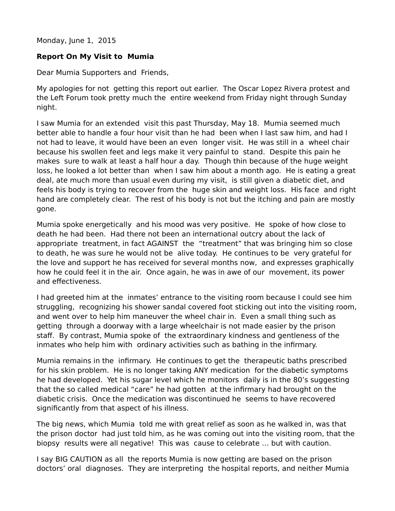Monday, June 1, 2015

## **Report On My Visit to Mumia**

Dear Mumia Supporters and Friends,

My apologies for not getting this report out earlier. The Oscar Lopez Rivera protest and the Left Forum took pretty much the entire weekend from Friday night through Sunday night.

I saw Mumia for an extended visit this past Thursday, May 18. Mumia seemed much better able to handle a four hour visit than he had been when I last saw him, and had I not had to leave, it would have been an even longer visit. He was still in a wheel chair because his swollen feet and legs make it very painful to stand. Despite this pain he makes sure to walk at least a half hour a day. Though thin because of the huge weight loss, he looked a lot better than when I saw him about a month ago. He is eating a great deal, ate much more than usual even during my visit, is still given a diabetic diet, and feels his body is trying to recover from the huge skin and weight loss. His face and right hand are completely clear. The rest of his body is not but the itching and pain are mostly gone.

Mumia spoke energetically and his mood was very positive. He spoke of how close to death he had been. Had there not been an international outcry about the lack of appropriate treatment, in fact AGAINST the "treatment" that was bringing him so close to death, he was sure he would not be alive today. He continues to be very grateful for the love and support he has received for several months now, and expresses graphically how he could feel it in the air. Once again, he was in awe of our movement, its power and effectiveness.

I had greeted him at the inmates' entrance to the visiting room because I could see him struggling, recognizing his shower sandal covered foot sticking out into the visiting room, and went over to help him maneuver the wheel chair in. Even a small thing such as getting through a doorway with a large wheelchair is not made easier by the prison staff. By contrast, Mumia spoke of the extraordinary kindness and gentleness of the inmates who help him with ordinary activities such as bathing in the infirmary.

Mumia remains in the infirmary. He continues to get the therapeutic baths prescribed for his skin problem. He is no longer taking ANY medication for the diabetic symptoms he had developed. Yet his sugar level which he monitors daily is in the 80's suggesting that the so called medical "care" he had gotten at the infirmary had brought on the diabetic crisis. Once the medication was discontinued he seems to have recovered significantly from that aspect of his illness.

The big news, which Mumia told me with great relief as soon as he walked in, was that the prison doctor had just told him, as he was coming out into the visiting room, that the biopsy results were all negative! This was cause to celebrate … but with caution.

I say BIG CAUTION as all the reports Mumia is now getting are based on the prison doctors' oral diagnoses. They are interpreting the hospital reports, and neither Mumia